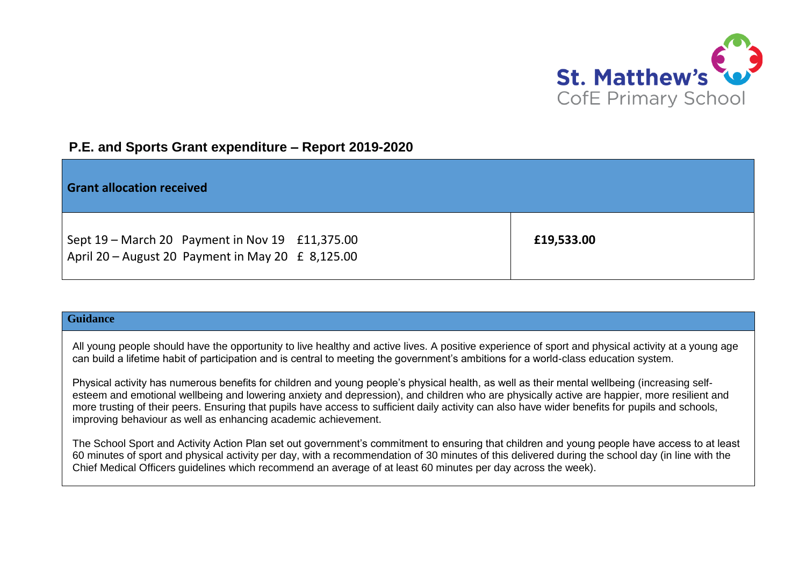

## **P.E. and Sports Grant expenditure – Report 2019-2020**

| <b>Grant allocation received</b>                                                                         |            |
|----------------------------------------------------------------------------------------------------------|------------|
| Sept 19 – March 20 Payment in Nov 19 £11,375.00<br>April 20 - August 20 Payment in May 20 $\pm$ 8,125.00 | £19,533.00 |

## **Guidance**

All young people should have the opportunity to live healthy and active lives. A positive experience of sport and physical activity at a young age can build a lifetime habit of participation and is central to meeting the government's ambitions for a world-class education system.

Physical activity has numerous benefits for children and young people's physical health, as well as their mental wellbeing (increasing selfesteem and emotional wellbeing and lowering anxiety and depression), and children who are physically active are happier, more resilient and more trusting of their peers. Ensuring that pupils have access to sufficient daily activity can also have wider benefits for pupils and schools, improving behaviour as well as enhancing academic achievement.

The School Sport and Activity Action Plan set out government's commitment to ensuring that children and young people have access to at least 60 minutes of sport and physical activity per day, with a recommendation of 30 minutes of this delivered during the school day (in line with the Chief Medical Officers guidelines which recommend an average of at least 60 minutes per day across the week).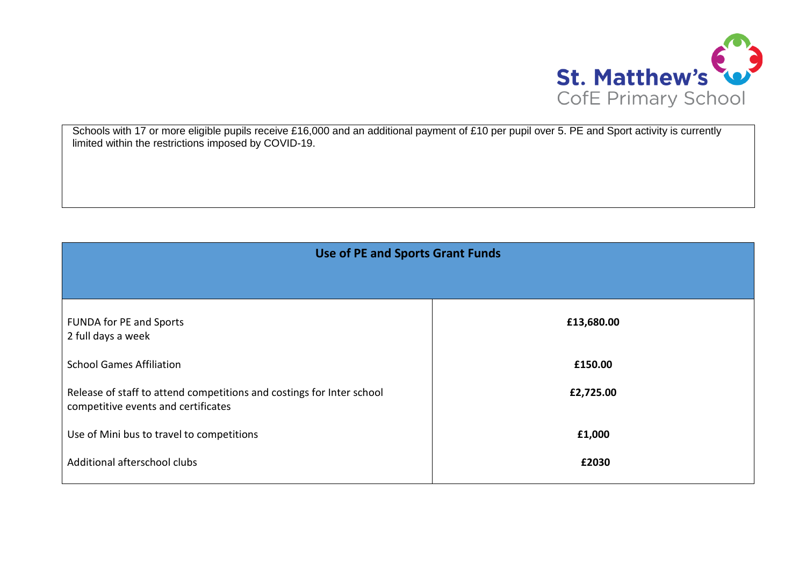

Schools with 17 or more eligible pupils receive £16,000 and an additional payment of £10 per pupil over 5. PE and Sport activity is currently limited within the restrictions imposed by COVID-19.

| <b>Use of PE and Sports Grant Funds</b>                                                                      |            |  |
|--------------------------------------------------------------------------------------------------------------|------------|--|
|                                                                                                              |            |  |
| <b>FUNDA for PE and Sports</b><br>2 full days a week                                                         | £13,680.00 |  |
| <b>School Games Affiliation</b>                                                                              | £150.00    |  |
| Release of staff to attend competitions and costings for Inter school<br>competitive events and certificates | £2,725.00  |  |
| Use of Mini bus to travel to competitions                                                                    | £1,000     |  |
| Additional afterschool clubs                                                                                 | £2030      |  |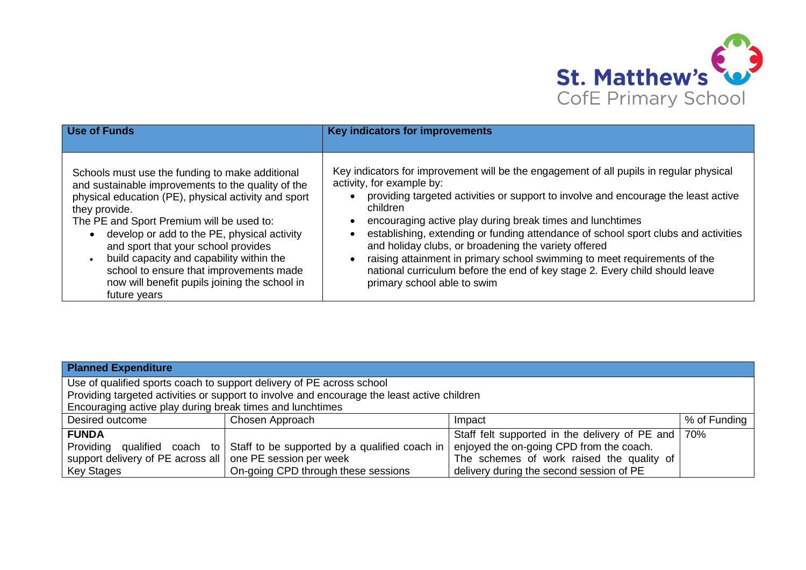

| Use of Funds                                                                                                                                                                                                                                                                                                                                                                                                                                                              | Key indicators for improvements                                                                                                                                                                                                                                                                                                                                                                                                                                                                                                                                                                                              |
|---------------------------------------------------------------------------------------------------------------------------------------------------------------------------------------------------------------------------------------------------------------------------------------------------------------------------------------------------------------------------------------------------------------------------------------------------------------------------|------------------------------------------------------------------------------------------------------------------------------------------------------------------------------------------------------------------------------------------------------------------------------------------------------------------------------------------------------------------------------------------------------------------------------------------------------------------------------------------------------------------------------------------------------------------------------------------------------------------------------|
| Schools must use the funding to make additional<br>and sustainable improvements to the quality of the<br>physical education (PE), physical activity and sport<br>they provide.<br>The PE and Sport Premium will be used to:<br>develop or add to the PE, physical activity<br>and sport that your school provides<br>build capacity and capability within the<br>school to ensure that improvements made<br>now will benefit pupils joining the school in<br>future years | Key indicators for improvement will be the engagement of all pupils in regular physical<br>activity, for example by:<br>providing targeted activities or support to involve and encourage the least active<br>children<br>encouraging active play during break times and lunchtimes<br>establishing, extending or funding attendance of school sport clubs and activities<br>and holiday clubs, or broadening the variety offered<br>raising attainment in primary school swimming to meet requirements of the<br>national curriculum before the end of key stage 2. Every child should leave<br>primary school able to swim |

| <b>Planned Expenditure</b>                                                                  |                                                                            |                                                      |              |
|---------------------------------------------------------------------------------------------|----------------------------------------------------------------------------|------------------------------------------------------|--------------|
| Use of qualified sports coach to support delivery of PE across school                       |                                                                            |                                                      |              |
| Providing targeted activities or support to involve and encourage the least active children |                                                                            |                                                      |              |
| Encouraging active play during break times and lunchtimes                                   |                                                                            |                                                      |              |
| Desired outcome                                                                             | Chosen Approach                                                            | Impact                                               | % of Funding |
| <b>FUNDA</b>                                                                                |                                                                            | Staff felt supported in the delivery of PE and   70% |              |
|                                                                                             | Providing qualified coach to Staff to be supported by a qualified coach in | enjoyed the on-going CPD from the coach.             |              |
| support delivery of PE across all one PE session per week                                   |                                                                            | The schemes of work raised the quality of            |              |
| <b>Key Stages</b>                                                                           | On-going CPD through these sessions                                        | delivery during the second session of PE             |              |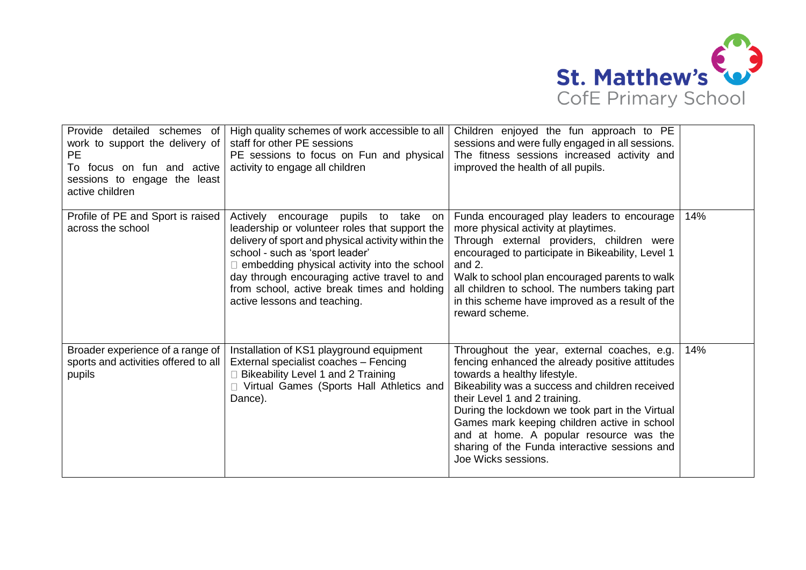

| Provide detailed schemes of<br>work to support the delivery of<br><b>PE</b><br>To focus on fun and active<br>sessions to engage the least<br>active children | High quality schemes of work accessible to all<br>staff for other PE sessions<br>PE sessions to focus on Fun and physical<br>activity to engage all children                                                                                                                                                                                                        | Children enjoyed the fun approach to PE<br>sessions and were fully engaged in all sessions.<br>The fitness sessions increased activity and<br>improved the health of all pupils.                                                                                                                                                                                                                                                         |     |
|--------------------------------------------------------------------------------------------------------------------------------------------------------------|---------------------------------------------------------------------------------------------------------------------------------------------------------------------------------------------------------------------------------------------------------------------------------------------------------------------------------------------------------------------|------------------------------------------------------------------------------------------------------------------------------------------------------------------------------------------------------------------------------------------------------------------------------------------------------------------------------------------------------------------------------------------------------------------------------------------|-----|
| Profile of PE and Sport is raised<br>across the school                                                                                                       | Actively<br>encourage pupils to take<br>on<br>leadership or volunteer roles that support the<br>delivery of sport and physical activity within the<br>school - such as 'sport leader'<br>embedding physical activity into the school<br>day through encouraging active travel to and<br>from school, active break times and holding<br>active lessons and teaching. | Funda encouraged play leaders to encourage<br>more physical activity at playtimes.<br>Through external providers, children were<br>encouraged to participate in Bikeability, Level 1<br>and $2.$<br>Walk to school plan encouraged parents to walk<br>all children to school. The numbers taking part<br>in this scheme have improved as a result of the<br>reward scheme.                                                               | 14% |
| Broader experience of a range of<br>sports and activities offered to all<br>pupils                                                                           | Installation of KS1 playground equipment<br>External specialist coaches - Fencing<br>Bikeability Level 1 and 2 Training<br>Virtual Games (Sports Hall Athletics and<br>Dance).                                                                                                                                                                                      | Throughout the year, external coaches, e.g.<br>fencing enhanced the already positive attitudes<br>towards a healthy lifestyle.<br>Bikeability was a success and children received<br>their Level 1 and 2 training.<br>During the lockdown we took part in the Virtual<br>Games mark keeping children active in school<br>and at home. A popular resource was the<br>sharing of the Funda interactive sessions and<br>Joe Wicks sessions. | 14% |